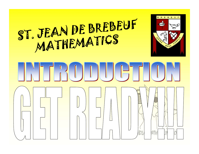#### ST. JEAN DE BREBEUF<br>MATHEMATICS



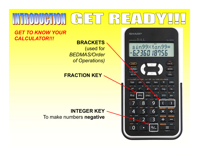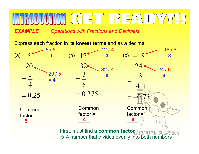**EXAMPLE** Operations with Fractions and Decimals

Express each fraction in its lowest terms and as a decimal



 $\rightarrow$  A number that divides evenly into both numbers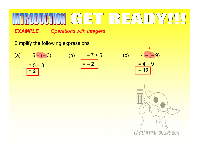**EXAMPLE** Operations with Integers

Simplify the following expressions

| IV                                 | IV                       | IV        | IV       | IV  |            |
|------------------------------------|--------------------------|-----------|----------|-----|------------|
| EXAMPLE                            | Operations with Integers |           |          |     |            |
| Simplify the following expressions | +                        |           |          |     |            |
| (a)                                | $5 + (-3)$               | (b)       | $-7 + 5$ | (c) | $4 - (-9)$ |
| $= 5 - 3$                          | $= -2$                   | $= 4 + 9$ |          |     |            |
| $= 2$                              | $= 13$                   |           |          |     |            |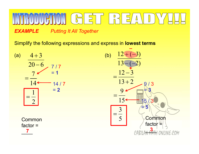# EXAMPLE Putting It All Together<br>
Simplify the following expressions and express in **lowest terms**<br>
(a)  $4+3$ <br>  $20-6$  7/7<br>  $7/7$ <br>  $12+(-3)$

**EXAMPLE** Putting It All Together

Simplify the following expressions and express in lowest terms

 $20 - 6$  $4 + 3$  $14<sup>·</sup>$ 7  $=$ 2 1  $=$ 7 / 7  $=$  1 and 2 and 2 and 2 and 2  $\pm$ 14 / 7  $= 2$ 

**Common** factor  $=$ 

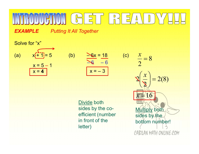## $\frac{1}{5}$   $\frac{1}{5}$   $\frac{1}{5}$   $\frac{1}{5}$   $\frac{1}{5}$   $\frac{1}{5}$   $\frac{1}{5}$   $\frac{1}{5}$   $\frac{1}{5}$   $\frac{1}{5}$   $\frac{1}{5}$   $\frac{1}{5}$   $\frac{1}{5}$   $\frac{1}{5}$   $\frac{1}{5}$   $\frac{1}{5}$   $\frac{1}{5}$   $\frac{1}{5}$   $\frac{1}{5}$   $\frac{1}{5}$   $\frac{1}{5}$   $\frac{1}{5}$  **EXAMPLE** Putting It All Together<br>
Solve for "x"<br>
(a)  $x = 5 - 1$ <br>  $x = 4$ <br>
(b)  $\frac{\sec x}{x} = \frac{18}{6}$ <br>
(c)  $x = 8$ <br>  $x = 3$

**EXAMPLE** Putting It All Together

Solve for "x"

 $x = 5 - 1$  $x = 4$ 

| $\frac{6x}{18}$ |              |  |
|-----------------|--------------|--|
| $\ddot{\Omega}$ | 6            |  |
| $x = -$         | $\mathbf{R}$ |  |

sides by the cosides by the co-<br>
efficient (number<br>
sides by the in front of the letter)

 $\frac{\sqrt{6x}}{\sqrt{6x}} = \frac{18}{6}$  (c)  $\frac{x}{2} = 8$ <br>  $\frac{x}{2} = -3$   $\sqrt{2} \left(\frac{x}{2}\right) = 2(8)$  $\frac{\log x}{\log x} = \frac{18}{-6}$  (c)  $\frac{x}{2} = 8$ <br>  $\frac{x}{2} = 2(8)$ <br>
Divide both<br>
sides by the co-<br>
efficient (number<br>
sides by the co- $\frac{x}{2} = 8$ <br>  $2\left(\frac{x}{2}\right) = 2(8)$ <br> **Multiply both**<br>
sides by the<br>
bottom number!  $\mathcal{X}$  $=$ 2  $\left(x\right)$  $\setminus$  $2\frac{\pi}{2}$  = 2(8)  $\vert$  ,  $\mathbf{2}$  $\setminus$  $\int$  $X =$ sides by the bottom number! CABILAN MATH ONLINE.COM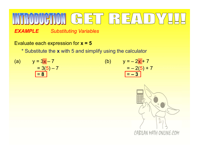#### **EXAMPLE** Substituting Variables<br>
Evaluate each expression for  $x = 5$ <br>
\* Substitute the x with 5 and simplify using the calculator<br>
(a)  $y = 3x - 7$ <br>  $y = 3(5) - 7$ <br>  $y = 2x + 7$ <br>  $y = -2(5) + 7$ <br>  $y = -2(5) + 7$ <br>  $y = -2(5) + 7$ <br>  $y = -3$ **EXAMPLE** Substituting Variables<br>
Evaluate each expression for  $x = 5$ <br>
\* Substitute the x with 5 and simplify using the calcul<br>
(a)  $y = 3x - 7$  (b)  $y = -2$  $\begin{array}{c}\n\hline\n\end{array}\n\begin{array}{ccc}\n\hline\n\end{array}\n\begin{array}{ccc}\n\hline\n\end{array}\n\end{array}\n\begin{array}{c}\n\hline\n\end{array}\n\begin{array}{c}\n\hline\n\end{array}\n\end{array}\n\begin{array}{c}\n\hline\n\end{array}\n\begin{array}{c}\n\hline\n\end{array}\n\begin{array}{c}\n\hline\n\end{array}\n\end{array}\n\begin{array}{c}\n\hline\n\end{array}\n\begin{array}{c}\n\hline\n\end{array}\n\end{array}\n\begin{array}{c}\n\hline\n\end{array$  $\begin{array}{c}\n\hline\n\end{array}\n\begin{array}{c}\n\hline\n\end{array}\n\begin{array}{c}\n\hline\n\end{array}\n\end{array}\n\begin{array}{c}\n\hline\n\end{array}\n\begin{array}{c}\n\hline\n\end{array}\n\end{array}\n\begin{array}{c}\n\hline\n\end{array}\n\begin{array}{c}\n\hline\n\end{array}\n\end{array}\n\begin{array}{c}\n\hline\n\end{array}\n\end{array}\n\begin{array}{c}\n\hline\n\end{array}\n\begin{array}{c}\n\hline\n\end{array}\n\end{array}\n\begin{array}{c}\n\h$

**EXAMPLE** Substituting Variables

Evaluate each expression for  $x = 5$ 

\* Substitute the x with 5 and simplify using the calculator

 $= 3(5) - 7$ <br>= 8

$$
y = -2x + 7
$$
  
= -2(5) + 7  
= -3